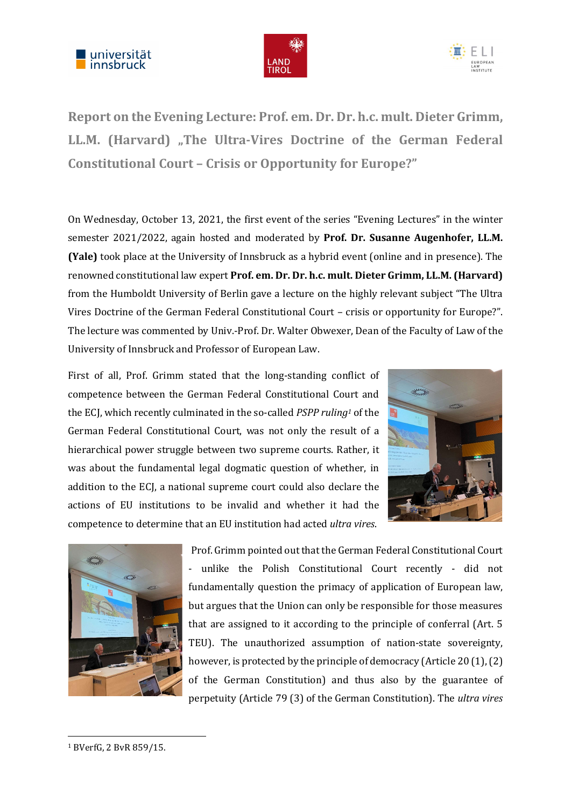





Report on the Evening Lecture: Prof. em. Dr. Dr. h.c. mult. Dieter Grimm, LL.M. (Harvard) "The Ultra-Vires Doctrine of the German Federal Constitutional Court – Crisis or Opportunity for Europe?"

On Wednesday, October 13, 2021, the first event of the series "Evening Lectures" in the winter semester 2021/2022, again hosted and moderated by Prof. Dr. Susanne Augenhofer, LL.M. (Yale) took place at the University of Innsbruck as a hybrid event (online and in presence). The renowned constitutional law expert Prof. em. Dr. Dr. h.c. mult. Dieter Grimm, LL.M. (Harvard) from the Humboldt University of Berlin gave a lecture on the highly relevant subject "The Ultra Vires Doctrine of the German Federal Constitutional Court – crisis or opportunity for Europe?". The lecture was commented by Univ.-Prof. Dr. Walter Obwexer, Dean of the Faculty of Law of the University of Innsbruck and Professor of European Law.

First of all, Prof. Grimm stated that the long-standing conflict of competence between the German Federal Constitutional Court and the ECJ, which recently culminated in the so-called *PSPP ruling<sup>1</sup>* of the German Federal Constitutional Court, was not only the result of a hierarchical power struggle between two supreme courts. Rather, it was about the fundamental legal dogmatic question of whether, in addition to the ECJ, a national supreme court could also declare the actions of EU institutions to be invalid and whether it had the competence to determine that an EU institution had acted ultra vires.





Prof. Grimm pointed out that the German Federal Constitutional Court - unlike the Polish Constitutional Court recently - did not fundamentally question the primacy of application of European law, but argues that the Union can only be responsible for those measures that are assigned to it according to the principle of conferral (Art. 5 TEU). The unauthorized assumption of nation-state sovereignty, however, is protected by the principle of democracy (Article 20 (1), (2) of the German Constitution) and thus also by the guarantee of perpetuity (Article 79 (3) of the German Constitution). The ultra vires

-